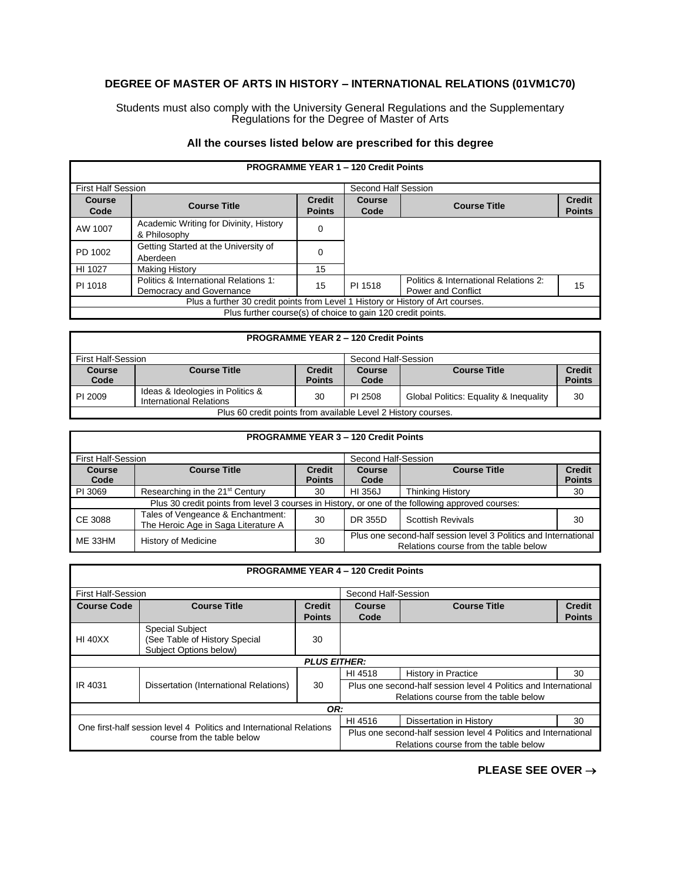## **DEGREE OF MASTER OF ARTS IN HISTORY – INTERNATIONAL RELATIONS (01VM1C70)**

Students must also comply with the University General Regulations and the Supplementary Regulations for the Degree of Master of Arts

## **All the courses listed below are prescribed for this degree**

| <b>PROGRAMME YEAR 1 - 120 Credit Points</b>                                     |                                                                   |                                |                     |                                                                    |                                |
|---------------------------------------------------------------------------------|-------------------------------------------------------------------|--------------------------------|---------------------|--------------------------------------------------------------------|--------------------------------|
| <b>First Half Session</b>                                                       |                                                                   |                                | Second Half Session |                                                                    |                                |
| <b>Course</b><br>Code                                                           | <b>Course Title</b>                                               | <b>Credit</b><br><b>Points</b> | Course<br>Code      | <b>Course Title</b>                                                | <b>Credit</b><br><b>Points</b> |
| AW 1007                                                                         | Academic Writing for Divinity, History<br>& Philosophy            | 0                              |                     |                                                                    |                                |
| PD 1002                                                                         | Getting Started at the University of<br>Aberdeen                  | 0                              |                     |                                                                    |                                |
| HI 1027                                                                         | <b>Making History</b>                                             | 15                             |                     |                                                                    |                                |
| PI 1018                                                                         | Politics & International Relations 1:<br>Democracy and Governance | 15                             | PI 1518             | Politics & International Relations 2:<br><b>Power and Conflict</b> | 15                             |
| Plus a further 30 credit points from Level 1 History or History of Art courses. |                                                                   |                                |                     |                                                                    |                                |
| Plus further course(s) of choice to gain 120 credit points.                     |                                                                   |                                |                     |                                                                    |                                |

| <b>PROGRAMME YEAR 2 - 120 Credit Points</b>                   |                                                             |                                |                |                                        |                                |
|---------------------------------------------------------------|-------------------------------------------------------------|--------------------------------|----------------|----------------------------------------|--------------------------------|
| First Half-Session<br>Second Half-Session                     |                                                             |                                |                |                                        |                                |
| <b>Course</b><br>Code                                         | <b>Course Title</b>                                         | <b>Credit</b><br><b>Points</b> | Course<br>Code | <b>Course Title</b>                    | <b>Credit</b><br><b>Points</b> |
| PI 2009                                                       | Ideas & Ideologies in Politics &<br>International Relations | 30                             | PI 2508        | Global Politics: Equality & Inequality | 30                             |
| Plus 60 credit points from available Level 2 History courses. |                                                             |                                |                |                                        |                                |

| <b>PROGRAMME YEAR 3 - 120 Credit Points</b> |                                                                                                  |                                |                                                                                                          |                          |                                |  |
|---------------------------------------------|--------------------------------------------------------------------------------------------------|--------------------------------|----------------------------------------------------------------------------------------------------------|--------------------------|--------------------------------|--|
| <b>First Half-Session</b>                   |                                                                                                  |                                | Second Half-Session                                                                                      |                          |                                |  |
| <b>Course</b><br>Code                       | <b>Course Title</b>                                                                              | <b>Credit</b><br><b>Points</b> | Course<br>Code                                                                                           | <b>Course Title</b>      | <b>Credit</b><br><b>Points</b> |  |
| PI 3069                                     | Researching in the 21 <sup>st</sup> Century                                                      | 30                             | HI 356J                                                                                                  | <b>Thinking History</b>  | 30                             |  |
|                                             | Plus 30 credit points from level 3 courses in History, or one of the following approved courses: |                                |                                                                                                          |                          |                                |  |
| CE 3088                                     | Tales of Vengeance & Enchantment:<br>The Heroic Age in Saga Literature A                         | 30                             | DR 355D                                                                                                  | <b>Scottish Revivals</b> | 30                             |  |
| ME 33HM                                     | <b>History of Medicine</b>                                                                       | 30                             | Plus one second-half session level 3 Politics and International<br>Relations course from the table below |                          |                                |  |

| <b>PROGRAMME YEAR 4 - 120 Credit Points</b>                                                        |                                        |                     |                                                                 |                            |               |  |
|----------------------------------------------------------------------------------------------------|----------------------------------------|---------------------|-----------------------------------------------------------------|----------------------------|---------------|--|
|                                                                                                    |                                        |                     |                                                                 |                            |               |  |
| <b>First Half-Session</b>                                                                          |                                        |                     | Second Half-Session                                             |                            |               |  |
| <b>Course Code</b>                                                                                 | <b>Course Title</b>                    | <b>Credit</b>       | <b>Course</b>                                                   | <b>Course Title</b>        | <b>Credit</b> |  |
|                                                                                                    |                                        | <b>Points</b>       | Code                                                            |                            | <b>Points</b> |  |
|                                                                                                    | <b>Special Subject</b>                 |                     |                                                                 |                            |               |  |
| <b>HI 40XX</b>                                                                                     | (See Table of History Special          | 30                  |                                                                 |                            |               |  |
|                                                                                                    | Subject Options below)                 |                     |                                                                 |                            |               |  |
|                                                                                                    |                                        | <b>PLUS EITHER:</b> |                                                                 |                            |               |  |
|                                                                                                    | Dissertation (International Relations) | 30                  | HI 4518                                                         | <b>History in Practice</b> | 30            |  |
| IR 4031                                                                                            |                                        |                     | Plus one second-half session level 4 Politics and International |                            |               |  |
|                                                                                                    |                                        |                     | Relations course from the table below                           |                            |               |  |
| OR:                                                                                                |                                        |                     |                                                                 |                            |               |  |
| One first-half session level 4 Politics and International Relations<br>course from the table below |                                        |                     | HI 4516                                                         | Dissertation in History    | 30            |  |
|                                                                                                    |                                        |                     | Plus one second-half session level 4 Politics and International |                            |               |  |
|                                                                                                    |                                        |                     | Relations course from the table below                           |                            |               |  |

**PLEASE SEE OVER** →